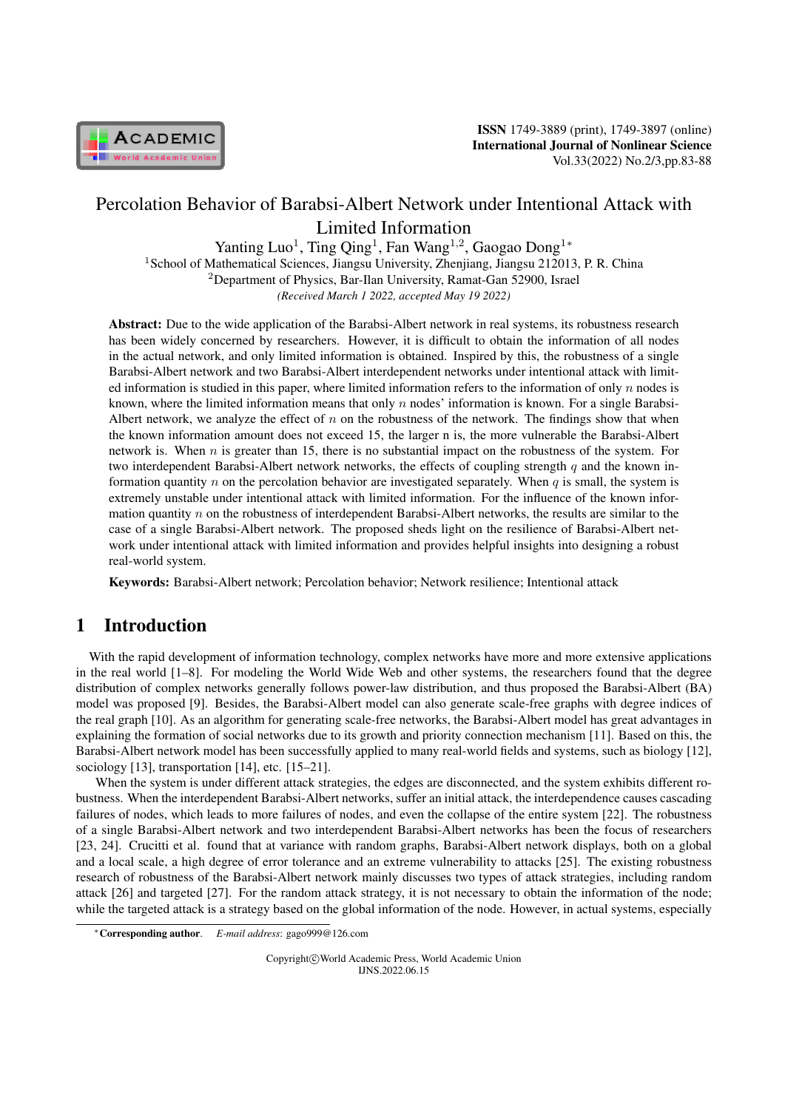

# Percolation Behavior of Barabsi-Albert Network under Intentional Attack with Limited Information

Yanting Luo<sup>1</sup>, Ting Qing<sup>1</sup>, Fan Wang<sup>1,2</sup>, Gaogao Dong<sup>1∗</sup> <sup>1</sup> School of Mathematical Sciences, Jiangsu University, Zhenjiang, Jiangsu 212013, P. R. China <sup>2</sup>Department of Physics, Bar-Ilan University, Ramat-Gan 52900, Israel *(Received March 1 2022, accepted May 19 2022)*

Abstract: Due to the wide application of the Barabsi-Albert network in real systems, its robustness research has been widely concerned by researchers. However, it is difficult to obtain the information of all nodes in the actual network, and only limited information is obtained. Inspired by this, the robustness of a single Barabsi-Albert network and two Barabsi-Albert interdependent networks under intentional attack with limited information is studied in this paper, where limited information refers to the information of only *n* nodes is known, where the limited information means that only *n* nodes' information is known. For a single Barabsi-Albert network, we analyze the effect of *n* on the robustness of the network. The findings show that when the known information amount does not exceed 15, the larger n is, the more vulnerable the Barabsi-Albert network is. When *n* is greater than 15, there is no substantial impact on the robustness of the system. For two interdependent Barabsi-Albert network networks, the effects of coupling strength *q* and the known information quantity *n* on the percolation behavior are investigated separately. When *q* is small, the system is extremely unstable under intentional attack with limited information. For the influence of the known information quantity *n* on the robustness of interdependent Barabsi-Albert networks, the results are similar to the case of a single Barabsi-Albert network. The proposed sheds light on the resilience of Barabsi-Albert network under intentional attack with limited information and provides helpful insights into designing a robust real-world system.

Keywords: Barabsi-Albert network; Percolation behavior; Network resilience; Intentional attack

# 1 Introduction

With the rapid development of information technology, complex networks have more and more extensive applications in the real world [1–8]. For modeling the World Wide Web and other systems, the researchers found that the degree distribution of complex networks generally follows power-law distribution, and thus proposed the Barabsi-Albert (BA) model was proposed [9]. Besides, the Barabsi-Albert model can also generate scale-free graphs with degree indices of the real graph [10]. As an algorithm for generating scale-free networks, the Barabsi-Albert model has great advantages in explaining the formation of social networks due to its growth and priority connection mechanism [11]. Based on this, the Barabsi-Albert network model has been successfully applied to many real-world fields and systems, such as biology [12], sociology [13], transportation [14], etc. [15–21].

When the system is under different attack strategies, the edges are disconnected, and the system exhibits different robustness. When the interdependent Barabsi-Albert networks, suffer an initial attack, the interdependence causes cascading failures of nodes, which leads to more failures of nodes, and even the collapse of the entire system [22]. The robustness of a single Barabsi-Albert network and two interdependent Barabsi-Albert networks has been the focus of researchers [23, 24]. Crucitti et al. found that at variance with random graphs, Barabsi-Albert network displays, both on a global and a local scale, a high degree of error tolerance and an extreme vulnerability to attacks [25]. The existing robustness research of robustness of the Barabsi-Albert network mainly discusses two types of attack strategies, including random attack [26] and targeted [27]. For the random attack strategy, it is not necessary to obtain the information of the node; while the targeted attack is a strategy based on the global information of the node. However, in actual systems, especially

Copyright*⃝*c World Academic Press, World Academic Union IJNS.2022.06.15

*<sup>∗</sup>*Corresponding author. *E-mail address*: gago999@126.com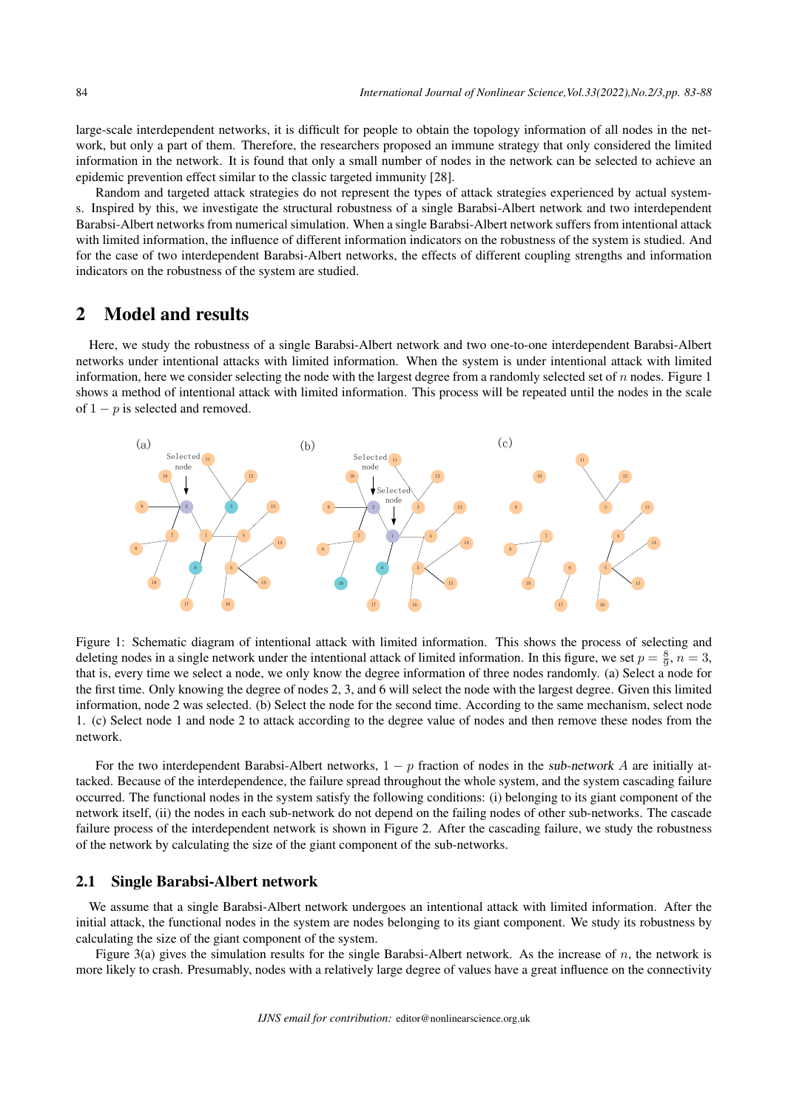large-scale interdependent networks, it is difficult for people to obtain the topology information of all nodes in the network, but only a part of them. Therefore, the researchers proposed an immune strategy that only considered the limited information in the network. It is found that only a small number of nodes in the network can be selected to achieve an epidemic prevention effect similar to the classic targeted immunity [28].

Random and targeted attack strategies do not represent the types of attack strategies experienced by actual systems. Inspired by this, we investigate the structural robustness of a single Barabsi-Albert network and two interdependent Barabsi-Albert networks from numerical simulation. When a single Barabsi-Albert network suffers from intentional attack with limited information, the influence of different information indicators on the robustness of the system is studied. And for the case of two interdependent Barabsi-Albert networks, the effects of different coupling strengths and information indicators on the robustness of the system are studied.

## 2 Model and results

Here, we study the robustness of a single Barabsi-Albert network and two one-to-one interdependent Barabsi-Albert networks under intentional attacks with limited information. When the system is under intentional attack with limited information, here we consider selecting the node with the largest degree from a randomly selected set of *n* nodes. Figure 1 shows a method of intentional attack with limited information. This process will be repeated until the nodes in the scale of 1 *− p* is selected and removed.



Figure 1: Schematic diagram of intentional attack with limited information. This shows the process of selecting and deleting nodes in a single network under the intentional attack of limited information. In this figure, we set  $p = \frac{8}{9}$ ,  $n = 3$ , that is, every time we select a node, we only know the degree information of three nodes randomly. (a) Select a node for the first time. Only knowing the degree of nodes 2, 3, and 6 will select the node with the largest degree. Given this limited information, node 2 was selected. (b) Select the node for the second time. According to the same mechanism, select node 1. (c) Select node 1 and node 2 to attack according to the degree value of nodes and then remove these nodes from the network.

For the two interdependent Barabsi-Albert networks, 1 *− p* fraction of nodes in the sub-network *A* are initially attacked. Because of the interdependence, the failure spread throughout the whole system, and the system cascading failure occurred. The functional nodes in the system satisfy the following conditions: (i) belonging to its giant component of the network itself, (ii) the nodes in each sub-network do not depend on the failing nodes of other sub-networks. The cascade failure process of the interdependent network is shown in Figure 2. After the cascading failure, we study the robustness of the network by calculating the size of the giant component of the sub-networks.

#### 2.1 Single Barabsi-Albert network

We assume that a single Barabsi-Albert network undergoes an intentional attack with limited information. After the initial attack, the functional nodes in the system are nodes belonging to its giant component. We study its robustness by calculating the size of the giant component of the system.

Figure 3(a) gives the simulation results for the single Barabsi-Albert network. As the increase of *n*, the network is more likely to crash. Presumably, nodes with a relatively large degree of values have a great influence on the connectivity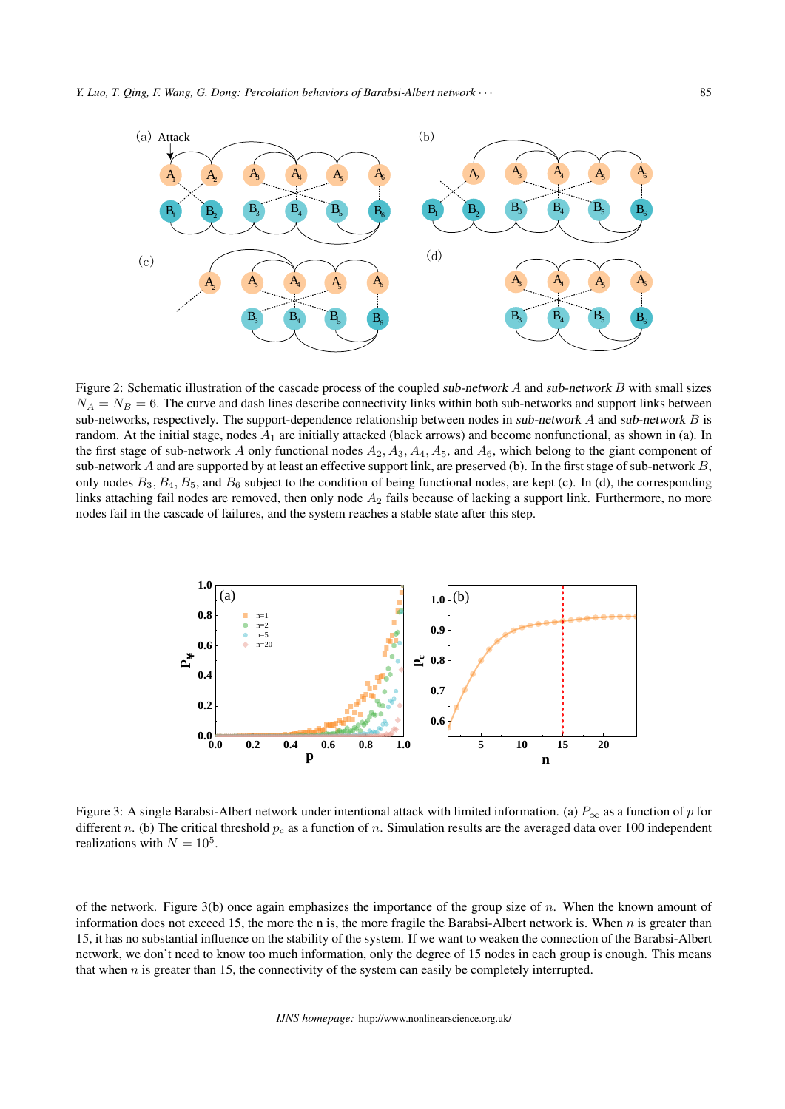

Figure 2: Schematic illustration of the cascade process of the coupled sub-network *A* and sub-network *B* with small sizes  $N_A = N_B = 6$ . The curve and dash lines describe connectivity links within both sub-networks and support links between sub-networks, respectively. The support-dependence relationship between nodes in sub-network *A* and sub-network *B* is random. At the initial stage, nodes  $A_1$  are initially attacked (black arrows) and become nonfunctional, as shown in (a). In the first stage of sub-network *A* only functional nodes *A*2*, A*3*, A*4*, A*5, and *A*6, which belong to the giant component of sub-network *A* and are supported by at least an effective support link, are preserved (b). In the first stage of sub-network *B*, only nodes  $B_3$ ,  $B_4$ ,  $B_5$ , and  $B_6$  subject to the condition of being functional nodes, are kept (c). In (d), the corresponding links attaching fail nodes are removed, then only node *A*<sup>2</sup> fails because of lacking a support link. Furthermore, no more nodes fail in the cascade of failures, and the system reaches a stable state after this step.



Figure 3: A single Barabsi-Albert network under intentional attack with limited information. (a) *P<sup>∞</sup>* as a function of *p* for different *n*. (b) The critical threshold  $p_c$  as a function of *n*. Simulation results are the averaged data over 100 independent realizations with  $N = 10^5$ .

of the network. Figure 3(b) once again emphasizes the importance of the group size of *n*. When the known amount of information does not exceed 15, the more the n is, the more fragile the Barabsi-Albert network is. When *n* is greater than 15, it has no substantial influence on the stability of the system. If we want to weaken the connection of the Barabsi-Albert network, we don't need to know too much information, only the degree of 15 nodes in each group is enough. This means that when *n* is greater than 15, the connectivity of the system can easily be completely interrupted.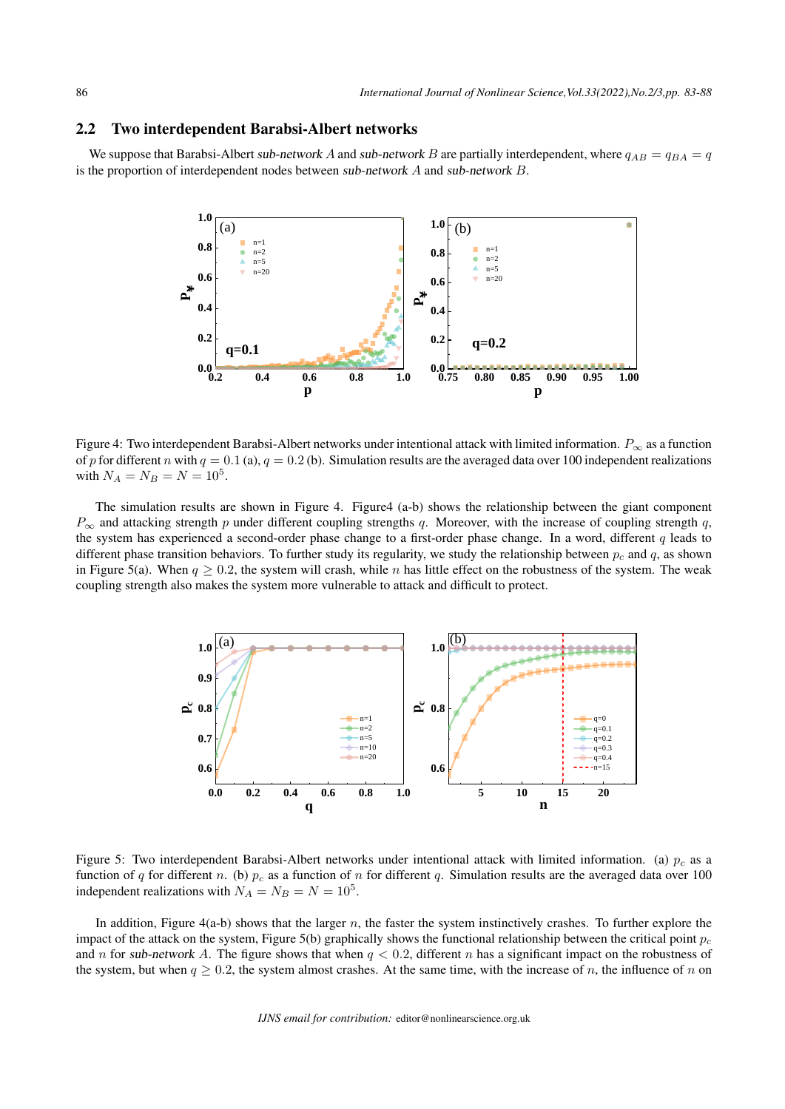#### 2.2 Two interdependent Barabsi-Albert networks

We suppose that Barabsi-Albert sub-network *A* and sub-network *B* are partially interdependent, where  $q_{AB} = q_{BA} = q$ is the proportion of interdependent nodes between sub-network *A* and sub-network *B*.



Figure 4: Two interdependent Barabsi-Albert networks under intentional attack with limited information. *P<sup>∞</sup>* as a function of *p* for different *n* with  $q = 0.1$  (a),  $q = 0.2$  (b). Simulation results are the averaged data over 100 independent realizations with  $N_A = N_B = N = 10^5$ .

The simulation results are shown in Figure 4. Figure4 (a-b) shows the relationship between the giant component *P<sup>∞</sup>* and attacking strength *p* under different coupling strengths *q*. Moreover, with the increase of coupling strength *q*, the system has experienced a second-order phase change to a first-order phase change. In a word, different *q* leads to different phase transition behaviors. To further study its regularity, we study the relationship between *p<sup>c</sup>* and *q*, as shown in Figure 5(a). When  $q \ge 0.2$ , the system will crash, while *n* has little effect on the robustness of the system. The weak coupling strength also makes the system more vulnerable to attack and difficult to protect.



Figure 5: Two interdependent Barabsi-Albert networks under intentional attack with limited information. (a)  $p_c$  as a function of *q* for different *n*. (b)  $p_c$  as a function of *n* for different *q*. Simulation results are the averaged data over 100 independent realizations with  $N_A = N_B = N = 10^5$ .

In addition, Figure 4(a-b) shows that the larger *n*, the faster the system instinctively crashes. To further explore the impact of the attack on the system, Figure 5(b) graphically shows the functional relationship between the critical point  $p_c$ and *n* for sub-network A. The figure shows that when  $q < 0.2$ , different *n* has a significant impact on the robustness of the system, but when  $q \ge 0.2$ , the system almost crashes. At the same time, with the increase of *n*, the influence of *n* on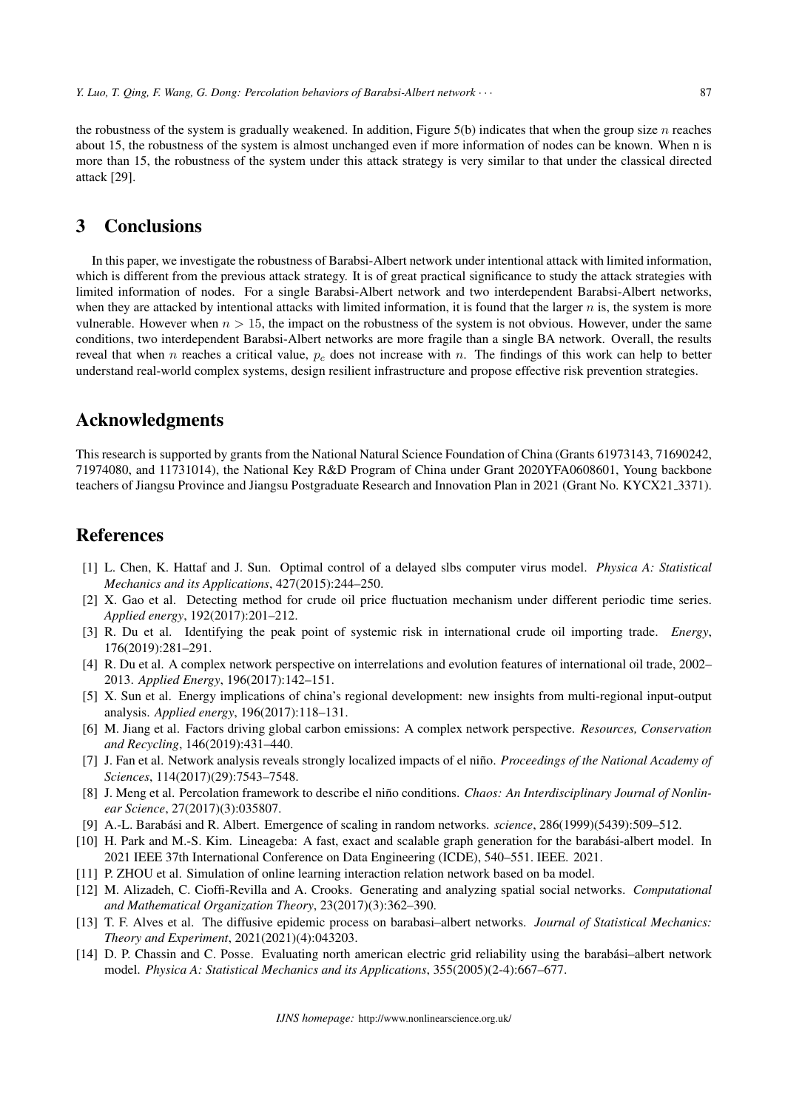the robustness of the system is gradually weakened. In addition, Figure 5(b) indicates that when the group size  $n$  reaches about 15, the robustness of the system is almost unchanged even if more information of nodes can be known. When n is more than 15, the robustness of the system under this attack strategy is very similar to that under the classical directed attack [29].

## 3 Conclusions

In this paper, we investigate the robustness of Barabsi-Albert network under intentional attack with limited information, which is different from the previous attack strategy. It is of great practical significance to study the attack strategies with limited information of nodes. For a single Barabsi-Albert network and two interdependent Barabsi-Albert networks, when they are attacked by intentional attacks with limited information, it is found that the larger  $n$  is, the system is more vulnerable. However when  $n > 15$ , the impact on the robustness of the system is not obvious. However, under the same conditions, two interdependent Barabsi-Albert networks are more fragile than a single BA network. Overall, the results reveal that when *n* reaches a critical value, *p<sup>c</sup>* does not increase with *n*. The findings of this work can help to better understand real-world complex systems, design resilient infrastructure and propose effective risk prevention strategies.

### Acknowledgments

This research is supported by grants from the National Natural Science Foundation of China (Grants 61973143, 71690242, 71974080, and 11731014), the National Key R&D Program of China under Grant 2020YFA0608601, Young backbone teachers of Jiangsu Province and Jiangsu Postgraduate Research and Innovation Plan in 2021 (Grant No. KYCX21 3371).

### **References**

- [1] L. Chen, K. Hattaf and J. Sun. Optimal control of a delayed slbs computer virus model. *Physica A: Statistical Mechanics and its Applications*, 427(2015):244–250.
- [2] X. Gao et al. Detecting method for crude oil price fluctuation mechanism under different periodic time series. *Applied energy*, 192(2017):201–212.
- [3] R. Du et al. Identifying the peak point of systemic risk in international crude oil importing trade. *Energy*, 176(2019):281–291.
- [4] R. Du et al. A complex network perspective on interrelations and evolution features of international oil trade, 2002– 2013. *Applied Energy*, 196(2017):142–151.
- [5] X. Sun et al. Energy implications of china's regional development: new insights from multi-regional input-output analysis. *Applied energy*, 196(2017):118–131.
- [6] M. Jiang et al. Factors driving global carbon emissions: A complex network perspective. *Resources, Conservation and Recycling*, 146(2019):431–440.
- [7] J. Fan et al. Network analysis reveals strongly localized impacts of el nino. ˜ *Proceedings of the National Academy of Sciences*, 114(2017)(29):7543–7548.
- [8] J. Meng et al. Percolation framework to describe el niño conditions. *Chaos: An Interdisciplinary Journal of Nonlinear Science*, 27(2017)(3):035807.
- [9] A.-L. Barabási and R. Albert. Emergence of scaling in random networks. *science*, 286(1999)(5439):509–512.
- [10] H. Park and M.-S. Kim. Lineageba: A fast, exact and scalable graph generation for the barabási-albert model. In 2021 IEEE 37th International Conference on Data Engineering (ICDE), 540–551. IEEE. 2021.
- [11] P. ZHOU et al. Simulation of online learning interaction relation network based on ba model.
- [12] M. Alizadeh, C. Cioffi-Revilla and A. Crooks. Generating and analyzing spatial social networks. *Computational and Mathematical Organization Theory*, 23(2017)(3):362–390.
- [13] T. F. Alves et al. The diffusive epidemic process on barabasi–albert networks. *Journal of Statistical Mechanics: Theory and Experiment*, 2021(2021)(4):043203.
- [14] D. P. Chassin and C. Posse. Evaluating north american electric grid reliability using the barabási-albert network model. *Physica A: Statistical Mechanics and its Applications*, 355(2005)(2-4):667–677.

*IJNS homepage:* http://www.nonlinearscience.org.uk/